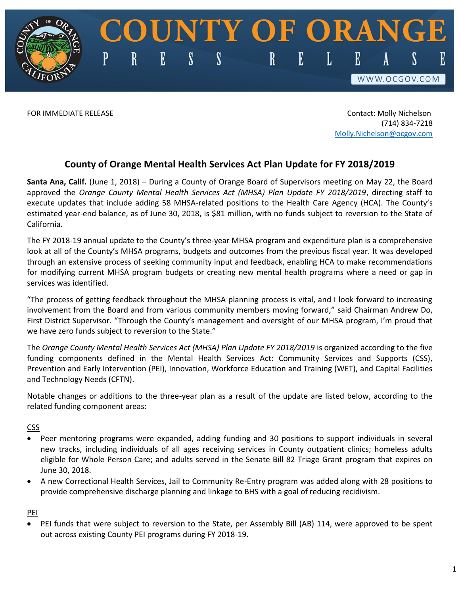FOR IMMEDIATE RELEASE Contact: Molly Nichelson (714) 834-7218 [Molly.Nichelson@ocgov.com](mailto:Molly.Nichelson@ocgov.com)

S

WWW.OCGOV.COM

## **County of Orange Mental Health Services Act Plan Update for FY 2018/2019**

E

 $\mathbf R$ 

P

 $\boldsymbol{\mathcal{S}}$ 

 $\boldsymbol{\mathcal{S}}$ 

UNTY OF ORANG

E

L

E

 $\mathbf R$ 

**Santa Ana, Calif.** (June 1, 2018) – During a County of Orange Board of Supervisors meeting on May 22, the Board approved the *Orange County Mental Health Services Act (MHSA) Plan Update FY 2018/2019*, directing staff to execute updates that include adding 58 MHSA-related positions to the Health Care Agency (HCA). The County's estimated year-end balance, as of June 30, 2018, is \$81 million, with no funds subject to reversion to the State of California.

The FY 2018-19 annual update to the County's three-year MHSA program and expenditure plan is a comprehensive look at all of the County's MHSA programs, budgets and outcomes from the previous fiscal year. It was developed through an extensive process of seeking community input and feedback, enabling HCA to make recommendations for modifying current MHSA program budgets or creating new mental health programs where a need or gap in services was identified.

"The process of getting feedback throughout the MHSA planning process is vital, and I look forward to increasing involvement from the Board and from various community members moving forward," said Chairman Andrew Do, First District Supervisor. "Through the County's management and oversight of our MHSA program, I'm proud that we have zero funds subject to reversion to the State."

The *Orange County Mental Health Services Act (MHSA) Plan Update FY 2018/2019* is organized according to the five funding components defined in the Mental Health Services Act: Community Services and Supports (CSS), Prevention and Early Intervention (PEI), Innovation, Workforce Education and Training (WET), and Capital Facilities and Technology Needs (CFTN).

Notable changes or additions to the three-year plan as a result of the update are listed below, according to the related funding component areas:

## CSS

- Peer mentoring programs were expanded, adding funding and 30 positions to support individuals in several new tracks, including individuals of all ages receiving services in County outpatient clinics; homeless adults eligible for Whole Person Care; and adults served in the Senate Bill 82 Triage Grant program that expires on June 30, 2018.
- A new Correctional Health Services, Jail to Community Re-Entry program was added along with 28 positions to provide comprehensive discharge planning and linkage to BHS with a goal of reducing recidivism.

PEI

 PEI funds that were subject to reversion to the State, per Assembly Bill (AB) 114, were approved to be spent out across existing County PEI programs during FY 2018-19.